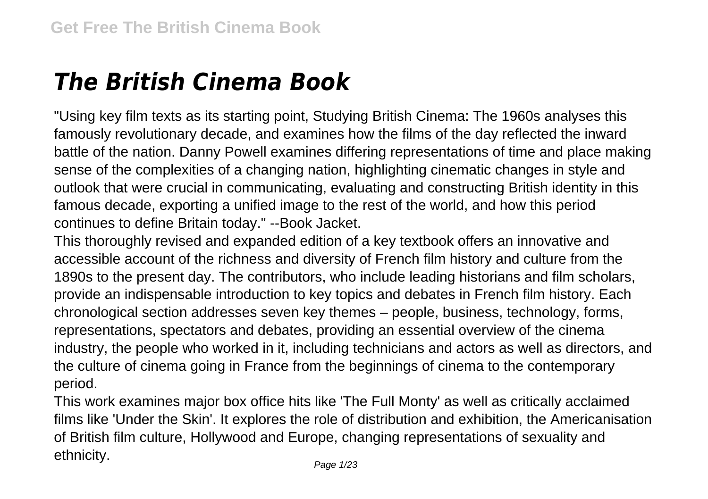## *The British Cinema Book*

"Using key film texts as its starting point, Studying British Cinema: The 1960s analyses this famously revolutionary decade, and examines how the films of the day reflected the inward battle of the nation. Danny Powell examines differing representations of time and place making sense of the complexities of a changing nation, highlighting cinematic changes in style and outlook that were crucial in communicating, evaluating and constructing British identity in this famous decade, exporting a unified image to the rest of the world, and how this period continues to define Britain today." --Book Jacket.

This thoroughly revised and expanded edition of a key textbook offers an innovative and accessible account of the richness and diversity of French film history and culture from the 1890s to the present day. The contributors, who include leading historians and film scholars, provide an indispensable introduction to key topics and debates in French film history. Each chronological section addresses seven key themes – people, business, technology, forms, representations, spectators and debates, providing an essential overview of the cinema industry, the people who worked in it, including technicians and actors as well as directors, and the culture of cinema going in France from the beginnings of cinema to the contemporary period.

This work examines major box office hits like 'The Full Monty' as well as critically acclaimed films like 'Under the Skin'. It explores the role of distribution and exhibition, the Americanisation of British film culture, Hollywood and Europe, changing representations of sexuality and ethnicity.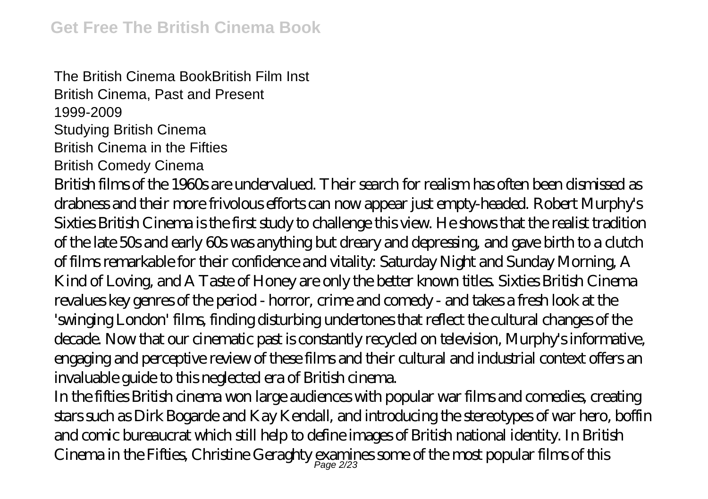The British Cinema BookBritish Film Inst British Cinema, Past and Present 1999-2009 Studying British Cinema British Cinema in the Fifties British Comedy Cinema British films of the 1960s are undervalued. Their search for realism has often been dismissed as drabness and their more frivolous efforts can now appear just empty-headed. Robert Murphy's Sixties British Cinema is the first study to challenge this view. He shows that the realist tradition of the late 50s and early 60s was anything but dreary and depressing, and gave birth to a clutch of films remarkable for their confidence and vitality: Saturday Night and Sunday Morning, A Kind of Loving, and A Taste of Honey are only the better known titles. Sixties British Cinema revalues key genres of the period - horror, crime and comedy - and takes a fresh look at the 'swinging London' films, finding disturbing undertones that reflect the cultural changes of the decade. Now that our cinematic past is constantly recycled on television, Murphy's informative, engaging and perceptive review of these films and their cultural and industrial context offers an invaluable guide to this neglected era of British cinema.

In the fifties British cinema won large audiences with popular war films and comedies, creating stars such as Dirk Bogarde and Kay Kendall, and introducing the stereotypes of war hero, boffin and comic bureaucrat which still help to define images of British national identity. In British Cinema in the Fifties, Christine Geraghty examines some of the most popular films of this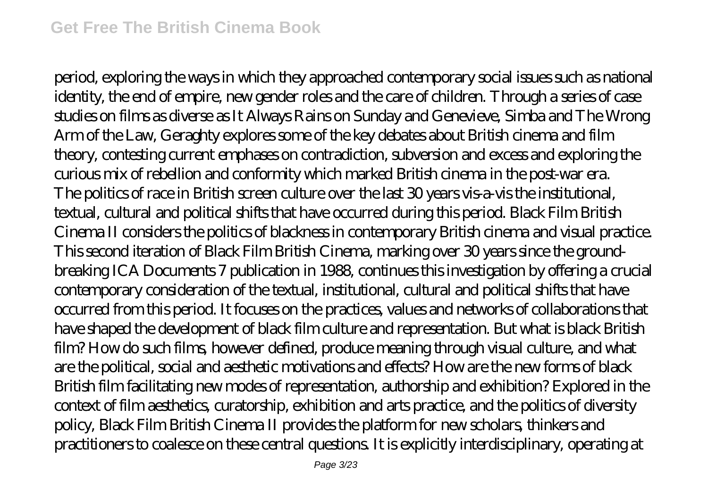period, exploring the ways in which they approached contemporary social issues such as national identity, the end of empire, new gender roles and the care of children. Through a series of case studies on films as diverse as It Always Rains on Sunday and Genevieve, Simba and The Wrong Arm of the Law, Geraghty explores some of the key debates about British cinema and film theory, contesting current emphases on contradiction, subversion and excess and exploring the curious mix of rebellion and conformity which marked British cinema in the post-war era. The politics of race in British screen culture over the last 30 years vis-a-vis the institutional, textual, cultural and political shifts that have occurred during this period. Black Film British Cinema II considers the politics of blackness in contemporary British cinema and visual practice. This second iteration of Black Film British Cinema, marking over 30 years since the groundbreaking ICA Documents 7 publication in 1988, continues this investigation by offering a crucial contemporary consideration of the textual, institutional, cultural and political shifts that have occurred from this period. It focuses on the practices, values and networks of collaborations that have shaped the development of black film culture and representation. But what is black British film? How do such films, however defined, produce meaning through visual culture, and what are the political, social and aesthetic motivations and effects? How are the new forms of black British film facilitating new modes of representation, authorship and exhibition? Explored in the context of film aesthetics, curatorship, exhibition and arts practice, and the politics of diversity policy, Black Film British Cinema II provides the platform for new scholars, thinkers and practitioners to coalesce on these central questions. It is explicitly interdisciplinary, operating at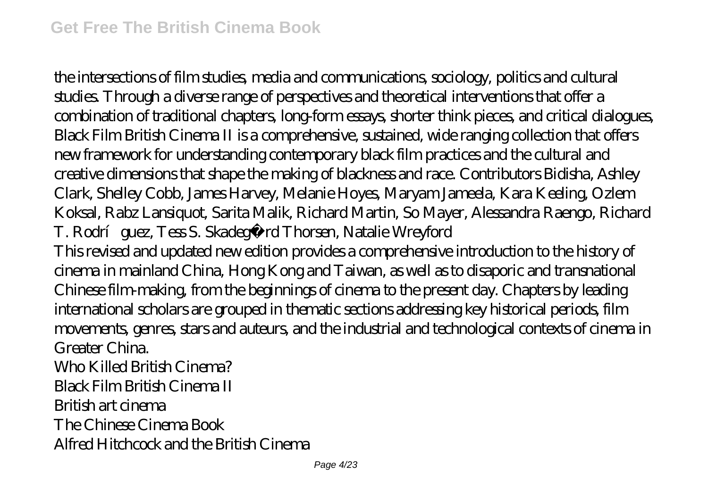the intersections of film studies, media and communications, sociology, politics and cultural studies. Through a diverse range of perspectives and theoretical interventions that offer a combination of traditional chapters, long-form essays, shorter think pieces, and critical dialogues, Black Film British Cinema II is a comprehensive, sustained, wide ranging collection that offers new framework for understanding contemporary black film practices and the cultural and creative dimensions that shape the making of blackness and race. Contributors Bidisha, Ashley Clark, Shelley Cobb, James Harvey, Melanie Hoyes, Maryam Jameela, Kara Keeling, Ozlem Koksal, Rabz Lansiquot, Sarita Malik, Richard Martin, So Mayer, Alessandra Raengo, Richard T. Rodríguez, Tess S. Skadegård Thorsen, Natalie Wreyford This revised and updated new edition provides a comprehensive introduction to the history of cinema in mainland China, Hong Kong and Taiwan, as well as to disaporic and transnational Chinese film-making, from the beginnings of cinema to the present day. Chapters by leading international scholars are grouped in thematic sections addressing key historical periods, film movements, genres, stars and auteurs, and the industrial and technological contexts of cinema in Greater China. Who Killed British Cinema? Black Film British Cinema II British art cinema The Chinese Cinema Book Alfred Hitchcock and the British Cinema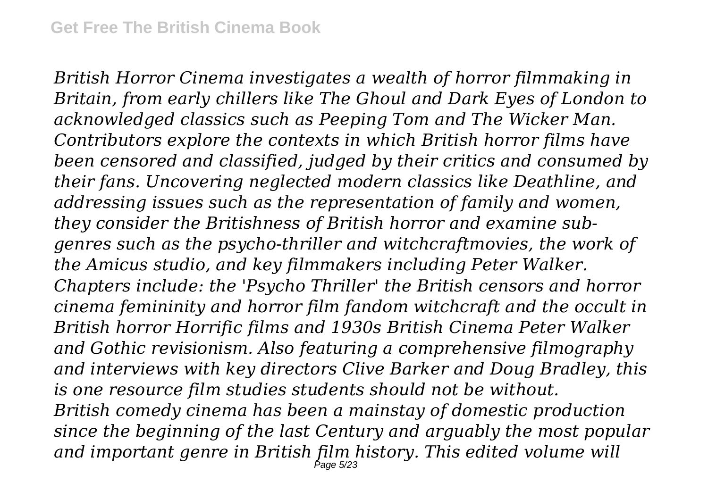*British Horror Cinema investigates a wealth of horror filmmaking in Britain, from early chillers like The Ghoul and Dark Eyes of London to acknowledged classics such as Peeping Tom and The Wicker Man. Contributors explore the contexts in which British horror films have been censored and classified, judged by their critics and consumed by their fans. Uncovering neglected modern classics like Deathline, and addressing issues such as the representation of family and women, they consider the Britishness of British horror and examine subgenres such as the psycho-thriller and witchcraftmovies, the work of the Amicus studio, and key filmmakers including Peter Walker. Chapters include: the 'Psycho Thriller' the British censors and horror cinema femininity and horror film fandom witchcraft and the occult in British horror Horrific films and 1930s British Cinema Peter Walker and Gothic revisionism. Also featuring a comprehensive filmography and interviews with key directors Clive Barker and Doug Bradley, this is one resource film studies students should not be without. British comedy cinema has been a mainstay of domestic production since the beginning of the last Century and arguably the most popular and important genre in British film history. This edited volume will* Page 5/23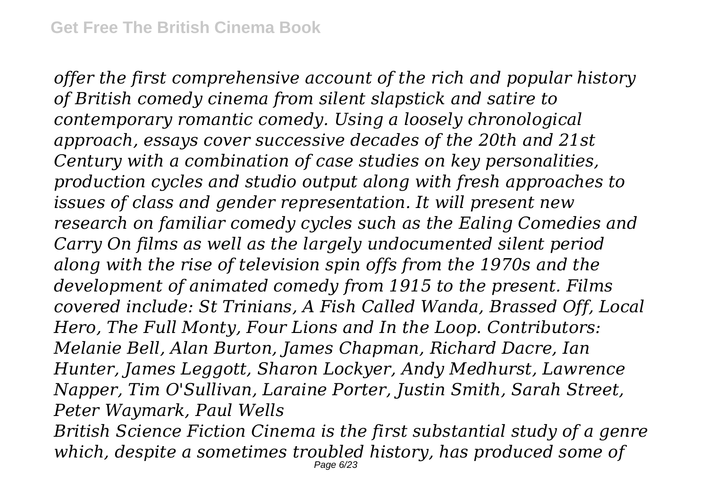*offer the first comprehensive account of the rich and popular history of British comedy cinema from silent slapstick and satire to contemporary romantic comedy. Using a loosely chronological approach, essays cover successive decades of the 20th and 21st Century with a combination of case studies on key personalities, production cycles and studio output along with fresh approaches to issues of class and gender representation. It will present new research on familiar comedy cycles such as the Ealing Comedies and Carry On films as well as the largely undocumented silent period along with the rise of television spin offs from the 1970s and the development of animated comedy from 1915 to the present. Films covered include: St Trinians, A Fish Called Wanda, Brassed Off, Local Hero, The Full Monty, Four Lions and In the Loop. Contributors: Melanie Bell, Alan Burton, James Chapman, Richard Dacre, Ian Hunter, James Leggott, Sharon Lockyer, Andy Medhurst, Lawrence Napper, Tim O'Sullivan, Laraine Porter, Justin Smith, Sarah Street, Peter Waymark, Paul Wells*

*British Science Fiction Cinema is the first substantial study of a genre which, despite a sometimes troubled history, has produced some of* Page 6/23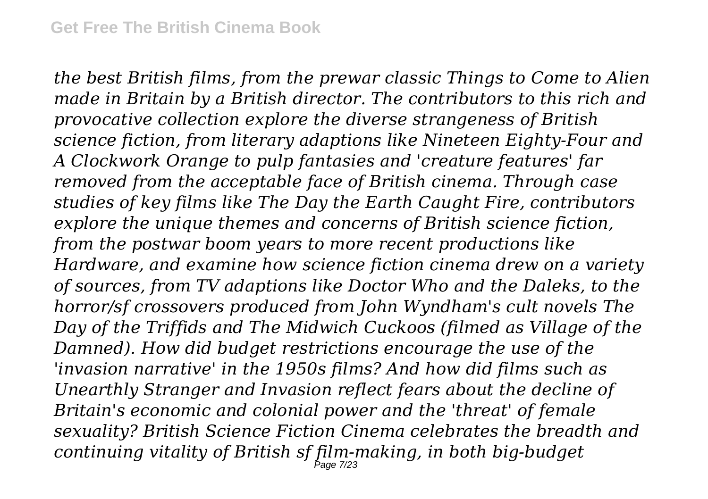*the best British films, from the prewar classic Things to Come to Alien made in Britain by a British director. The contributors to this rich and provocative collection explore the diverse strangeness of British science fiction, from literary adaptions like Nineteen Eighty-Four and A Clockwork Orange to pulp fantasies and 'creature features' far removed from the acceptable face of British cinema. Through case studies of key films like The Day the Earth Caught Fire, contributors explore the unique themes and concerns of British science fiction, from the postwar boom years to more recent productions like Hardware, and examine how science fiction cinema drew on a variety of sources, from TV adaptions like Doctor Who and the Daleks, to the horror/sf crossovers produced from John Wyndham's cult novels The Day of the Triffids and The Midwich Cuckoos (filmed as Village of the Damned). How did budget restrictions encourage the use of the 'invasion narrative' in the 1950s films? And how did films such as Unearthly Stranger and Invasion reflect fears about the decline of Britain's economic and colonial power and the 'threat' of female sexuality? British Science Fiction Cinema celebrates the breadth and continuing vitality of British sf film-making, in both big-budget* Page 7/23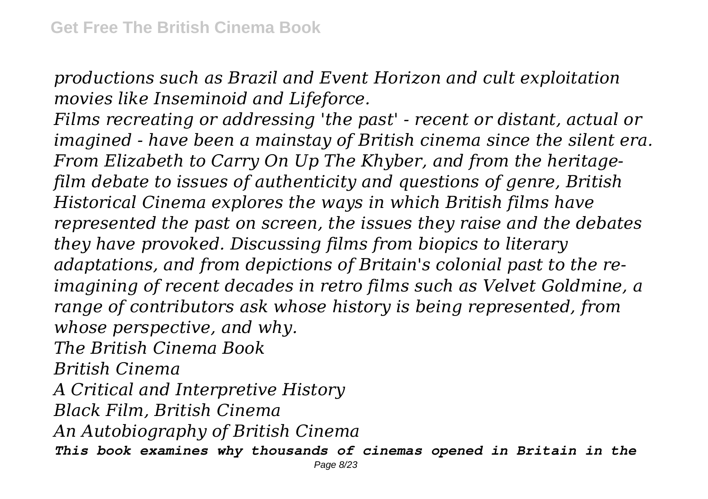*productions such as Brazil and Event Horizon and cult exploitation movies like Inseminoid and Lifeforce.*

*Films recreating or addressing 'the past' - recent or distant, actual or imagined - have been a mainstay of British cinema since the silent era. From Elizabeth to Carry On Up The Khyber, and from the heritagefilm debate to issues of authenticity and questions of genre, British Historical Cinema explores the ways in which British films have represented the past on screen, the issues they raise and the debates they have provoked. Discussing films from biopics to literary adaptations, and from depictions of Britain's colonial past to the reimagining of recent decades in retro films such as Velvet Goldmine, a range of contributors ask whose history is being represented, from whose perspective, and why. The British Cinema Book British Cinema*

*A Critical and Interpretive History*

*Black Film, British Cinema*

*An Autobiography of British Cinema*

*This book examines why thousands of cinemas opened in Britain in the*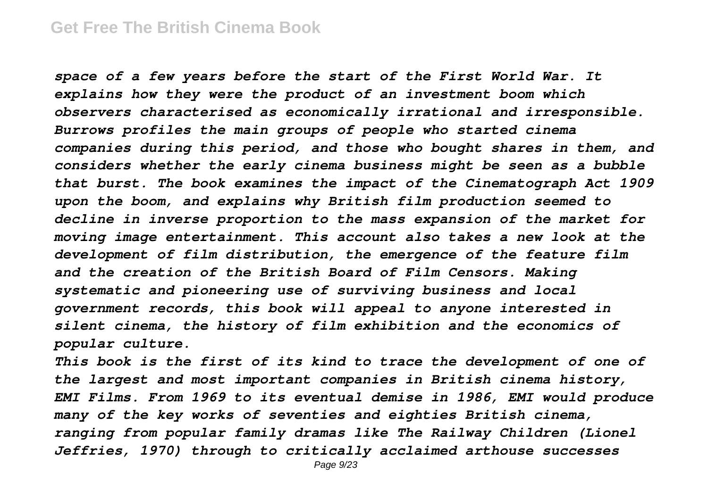*space of a few years before the start of the First World War. It explains how they were the product of an investment boom which observers characterised as economically irrational and irresponsible. Burrows profiles the main groups of people who started cinema companies during this period, and those who bought shares in them, and considers whether the early cinema business might be seen as a bubble that burst. The book examines the impact of the Cinematograph Act 1909 upon the boom, and explains why British film production seemed to decline in inverse proportion to the mass expansion of the market for moving image entertainment. This account also takes a new look at the development of film distribution, the emergence of the feature film and the creation of the British Board of Film Censors. Making systematic and pioneering use of surviving business and local government records, this book will appeal to anyone interested in silent cinema, the history of film exhibition and the economics of popular culture.*

*This book is the first of its kind to trace the development of one of the largest and most important companies in British cinema history, EMI Films. From 1969 to its eventual demise in 1986, EMI would produce many of the key works of seventies and eighties British cinema, ranging from popular family dramas like The Railway Children (Lionel Jeffries, 1970) through to critically acclaimed arthouse successes*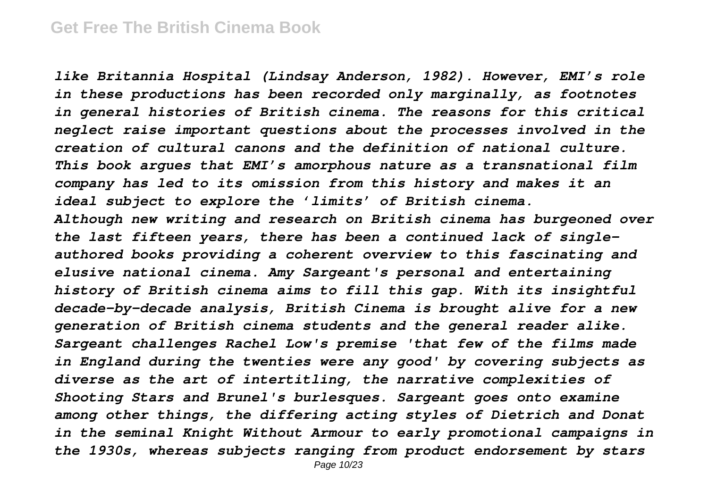*like Britannia Hospital (Lindsay Anderson, 1982). However, EMI's role in these productions has been recorded only marginally, as footnotes in general histories of British cinema. The reasons for this critical neglect raise important questions about the processes involved in the creation of cultural canons and the definition of national culture. This book argues that EMI's amorphous nature as a transnational film company has led to its omission from this history and makes it an ideal subject to explore the 'limits' of British cinema. Although new writing and research on British cinema has burgeoned over the last fifteen years, there has been a continued lack of singleauthored books providing a coherent overview to this fascinating and elusive national cinema. Amy Sargeant's personal and entertaining history of British cinema aims to fill this gap. With its insightful decade-by-decade analysis, British Cinema is brought alive for a new generation of British cinema students and the general reader alike. Sargeant challenges Rachel Low's premise 'that few of the films made in England during the twenties were any good' by covering subjects as diverse as the art of intertitling, the narrative complexities of Shooting Stars and Brunel's burlesques. Sargeant goes onto examine among other things, the differing acting styles of Dietrich and Donat in the seminal Knight Without Armour to early promotional campaigns in the 1930s, whereas subjects ranging from product endorsement by stars* Page 10/23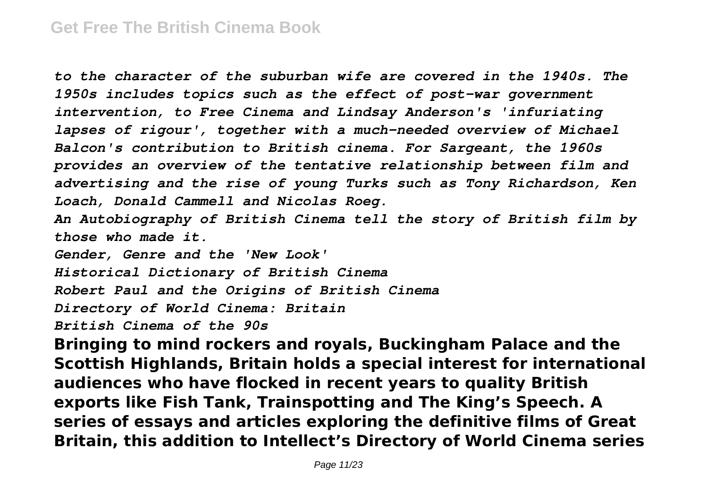*to the character of the suburban wife are covered in the 1940s. The 1950s includes topics such as the effect of post-war government intervention, to Free Cinema and Lindsay Anderson's 'infuriating lapses of rigour', together with a much-needed overview of Michael Balcon's contribution to British cinema. For Sargeant, the 1960s provides an overview of the tentative relationship between film and advertising and the rise of young Turks such as Tony Richardson, Ken Loach, Donald Cammell and Nicolas Roeg.*

*An Autobiography of British Cinema tell the story of British film by those who made it.*

*Gender, Genre and the 'New Look'*

*Historical Dictionary of British Cinema*

*Robert Paul and the Origins of British Cinema*

*Directory of World Cinema: Britain*

*British Cinema of the 90s*

**Bringing to mind rockers and royals, Buckingham Palace and the Scottish Highlands, Britain holds a special interest for international audiences who have flocked in recent years to quality British exports like Fish Tank, Trainspotting and The King's Speech. A series of essays and articles exploring the definitive films of Great Britain, this addition to Intellect's Directory of World Cinema series**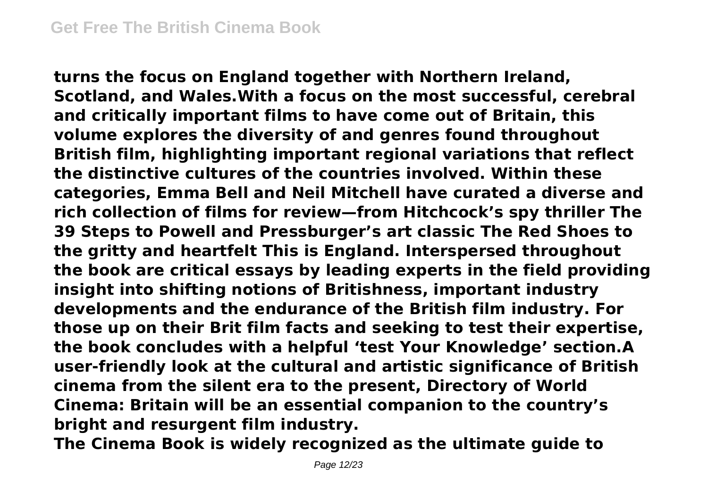**turns the focus on England together with Northern Ireland, Scotland, and Wales.With a focus on the most successful, cerebral and critically important films to have come out of Britain, this volume explores the diversity of and genres found throughout British film, highlighting important regional variations that reflect the distinctive cultures of the countries involved. Within these categories, Emma Bell and Neil Mitchell have curated a diverse and rich collection of films for review—from Hitchcock's spy thriller The 39 Steps to Powell and Pressburger's art classic The Red Shoes to the gritty and heartfelt This is England. Interspersed throughout the book are critical essays by leading experts in the field providing insight into shifting notions of Britishness, important industry developments and the endurance of the British film industry. For those up on their Brit film facts and seeking to test their expertise, the book concludes with a helpful 'test Your Knowledge' section.A user-friendly look at the cultural and artistic significance of British cinema from the silent era to the present, Directory of World Cinema: Britain will be an essential companion to the country's bright and resurgent film industry.**

**The Cinema Book is widely recognized as the ultimate guide to**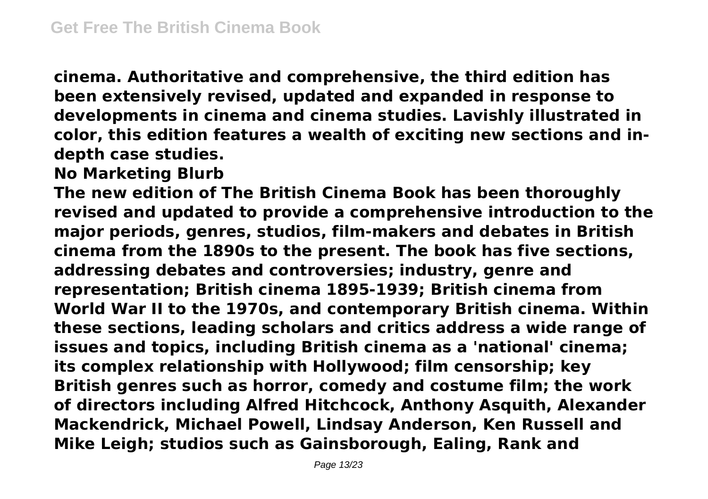**cinema. Authoritative and comprehensive, the third edition has been extensively revised, updated and expanded in response to developments in cinema and cinema studies. Lavishly illustrated in color, this edition features a wealth of exciting new sections and indepth case studies.**

**No Marketing Blurb**

**The new edition of The British Cinema Book has been thoroughly revised and updated to provide a comprehensive introduction to the major periods, genres, studios, film-makers and debates in British cinema from the 1890s to the present. The book has five sections, addressing debates and controversies; industry, genre and representation; British cinema 1895-1939; British cinema from World War II to the 1970s, and contemporary British cinema. Within these sections, leading scholars and critics address a wide range of issues and topics, including British cinema as a 'national' cinema; its complex relationship with Hollywood; film censorship; key British genres such as horror, comedy and costume film; the work of directors including Alfred Hitchcock, Anthony Asquith, Alexander Mackendrick, Michael Powell, Lindsay Anderson, Ken Russell and Mike Leigh; studios such as Gainsborough, Ealing, Rank and**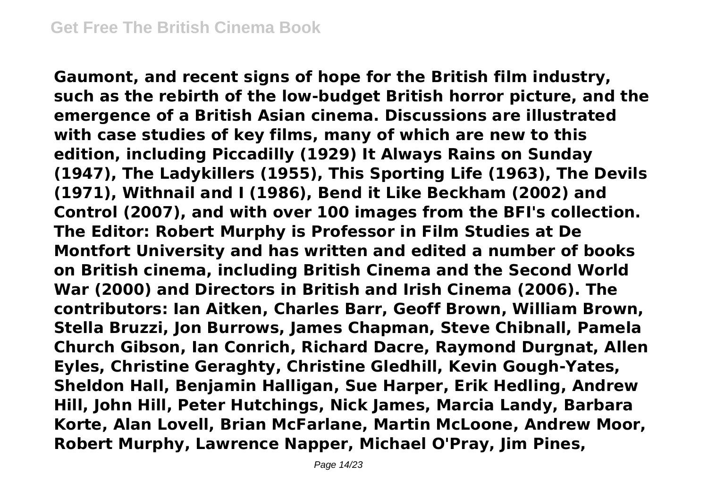**Gaumont, and recent signs of hope for the British film industry, such as the rebirth of the low-budget British horror picture, and the emergence of a British Asian cinema. Discussions are illustrated with case studies of key films, many of which are new to this edition, including Piccadilly (1929) It Always Rains on Sunday (1947), The Ladykillers (1955), This Sporting Life (1963), The Devils (1971), Withnail and I (1986), Bend it Like Beckham (2002) and Control (2007), and with over 100 images from the BFI's collection. The Editor: Robert Murphy is Professor in Film Studies at De Montfort University and has written and edited a number of books on British cinema, including British Cinema and the Second World War (2000) and Directors in British and Irish Cinema (2006). The contributors: Ian Aitken, Charles Barr, Geoff Brown, William Brown, Stella Bruzzi, Jon Burrows, James Chapman, Steve Chibnall, Pamela Church Gibson, Ian Conrich, Richard Dacre, Raymond Durgnat, Allen Eyles, Christine Geraghty, Christine Gledhill, Kevin Gough-Yates, Sheldon Hall, Benjamin Halligan, Sue Harper, Erik Hedling, Andrew Hill, John Hill, Peter Hutchings, Nick James, Marcia Landy, Barbara Korte, Alan Lovell, Brian McFarlane, Martin McLoone, Andrew Moor, Robert Murphy, Lawrence Napper, Michael O'Pray, Jim Pines,**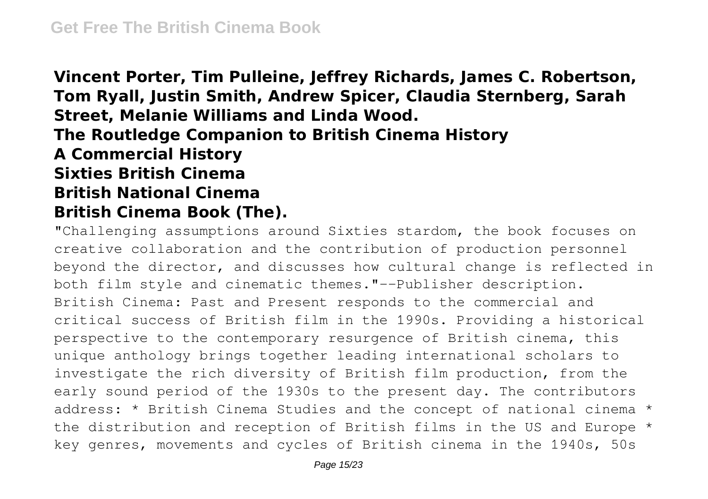**Vincent Porter, Tim Pulleine, Jeffrey Richards, James C. Robertson, Tom Ryall, Justin Smith, Andrew Spicer, Claudia Sternberg, Sarah Street, Melanie Williams and Linda Wood. The Routledge Companion to British Cinema History A Commercial History Sixties British Cinema British National Cinema British Cinema Book (The).**

"Challenging assumptions around Sixties stardom, the book focuses on creative collaboration and the contribution of production personnel beyond the director, and discusses how cultural change is reflected in both film style and cinematic themes."--Publisher description. British Cinema: Past and Present responds to the commercial and critical success of British film in the 1990s. Providing a historical perspective to the contemporary resurgence of British cinema, this unique anthology brings together leading international scholars to investigate the rich diversity of British film production, from the early sound period of the 1930s to the present day. The contributors address: \* British Cinema Studies and the concept of national cinema \* the distribution and reception of British films in the US and Europe \* key genres, movements and cycles of British cinema in the 1940s, 50s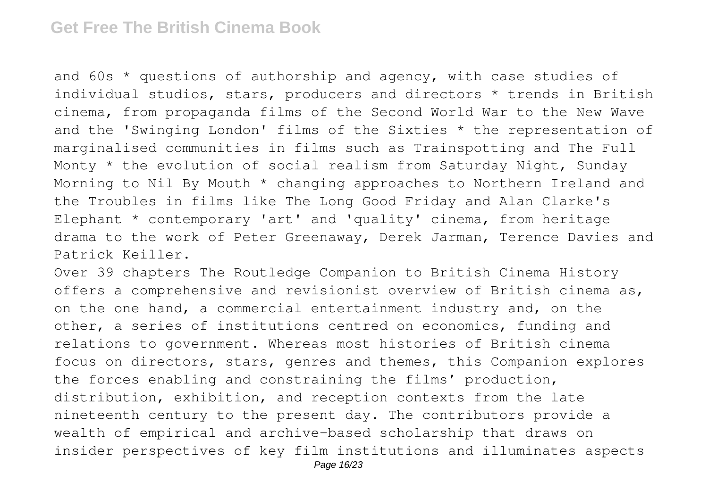and 60s \* questions of authorship and agency, with case studies of individual studios, stars, producers and directors \* trends in British cinema, from propaganda films of the Second World War to the New Wave and the 'Swinging London' films of the Sixties \* the representation of marginalised communities in films such as Trainspotting and The Full Monty \* the evolution of social realism from Saturday Night, Sunday Morning to Nil By Mouth \* changing approaches to Northern Ireland and the Troubles in films like The Long Good Friday and Alan Clarke's Elephant \* contemporary 'art' and 'quality' cinema, from heritage drama to the work of Peter Greenaway, Derek Jarman, Terence Davies and Patrick Keiller.

Over 39 chapters The Routledge Companion to British Cinema History offers a comprehensive and revisionist overview of British cinema as, on the one hand, a commercial entertainment industry and, on the other, a series of institutions centred on economics, funding and relations to government. Whereas most histories of British cinema focus on directors, stars, genres and themes, this Companion explores the forces enabling and constraining the films' production, distribution, exhibition, and reception contexts from the late nineteenth century to the present day. The contributors provide a wealth of empirical and archive-based scholarship that draws on insider perspectives of key film institutions and illuminates aspects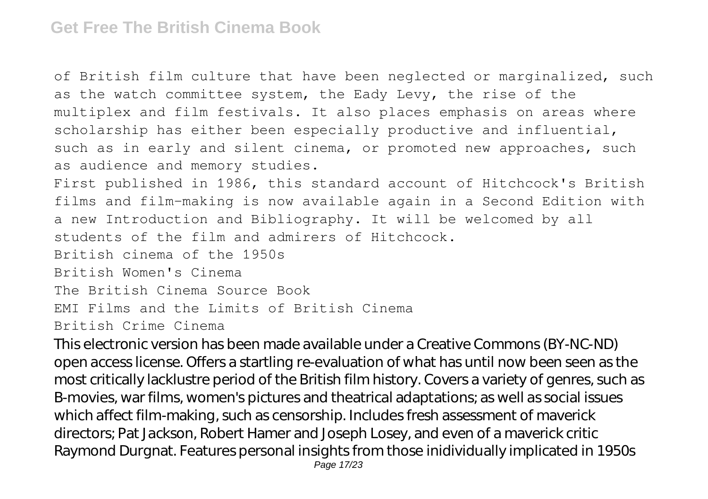of British film culture that have been neglected or marginalized, such as the watch committee system, the Eady Levy, the rise of the multiplex and film festivals. It also places emphasis on areas where scholarship has either been especially productive and influential, such as in early and silent cinema, or promoted new approaches, such as audience and memory studies.

First published in 1986, this standard account of Hitchcock's British films and film-making is now available again in a Second Edition with a new Introduction and Bibliography. It will be welcomed by all students of the film and admirers of Hitchcock.

British cinema of the 1950s

British Women's Cinema

The British Cinema Source Book

EMI Films and the Limits of British Cinema

British Crime Cinema

This electronic version has been made available under a Creative Commons (BY-NC-ND) open access license. Offers a startling re-evaluation of what has until now been seen as the most critically lacklustre period of the British film history. Covers a variety of genres, such as B-movies, war films, women's pictures and theatrical adaptations; as well as social issues which affect film-making, such as censorship. Includes fresh assessment of maverick directors; Pat Jackson, Robert Hamer and Joseph Losey, and even of a maverick critic Raymond Durgnat. Features personal insights from those inidividually implicated in 1950s Page 17/23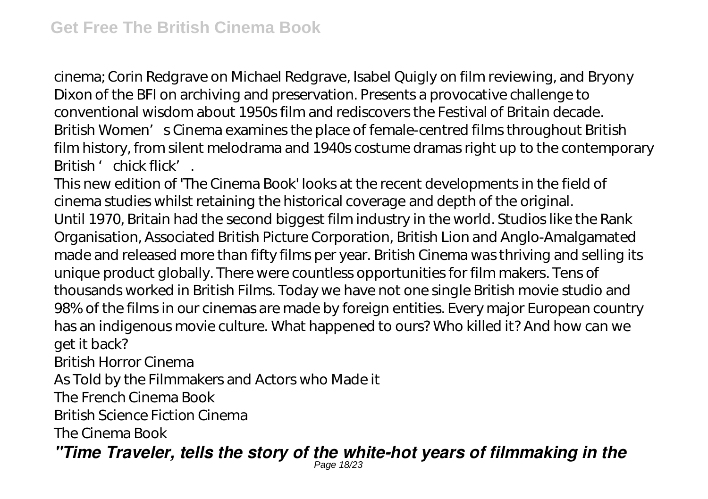cinema; Corin Redgrave on Michael Redgrave, Isabel Quigly on film reviewing, and Bryony Dixon of the BFI on archiving and preservation. Presents a provocative challenge to conventional wisdom about 1950s film and rediscovers the Festival of Britain decade. British Women's Cinema examines the place of female-centred films throughout British film history, from silent melodrama and 1940s costume dramas right up to the contemporary British 'chick flick'.

This new edition of 'The Cinema Book' looks at the recent developments in the field of cinema studies whilst retaining the historical coverage and depth of the original. Until 1970, Britain had the second biggest film industry in the world. Studios like the Rank Organisation, Associated British Picture Corporation, British Lion and Anglo-Amalgamated made and released more than fifty films per year. British Cinema was thriving and selling its unique product globally. There were countless opportunities for film makers. Tens of thousands worked in British Films. Today we have not one single British movie studio and 98% of the films in our cinemas are made by foreign entities. Every major European country has an indigenous movie culture. What happened to ours? Who killed it? And how can we get it back?

British Horror Cinema

As Told by the Filmmakers and Actors who Made it

The French Cinema Book

British Science Fiction Cinema

The Cinema Book

*"Time Traveler, tells the story of the white-hot years of filmmaking in the* Page 18/23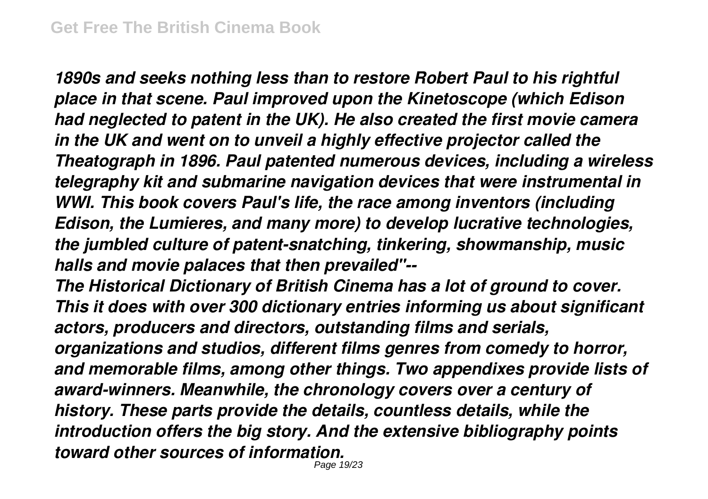*1890s and seeks nothing less than to restore Robert Paul to his rightful place in that scene. Paul improved upon the Kinetoscope (which Edison had neglected to patent in the UK). He also created the first movie camera in the UK and went on to unveil a highly effective projector called the Theatograph in 1896. Paul patented numerous devices, including a wireless telegraphy kit and submarine navigation devices that were instrumental in WWI. This book covers Paul's life, the race among inventors (including Edison, the Lumieres, and many more) to develop lucrative technologies, the jumbled culture of patent-snatching, tinkering, showmanship, music halls and movie palaces that then prevailed"--*

*The Historical Dictionary of British Cinema has a lot of ground to cover. This it does with over 300 dictionary entries informing us about significant actors, producers and directors, outstanding films and serials,*

*organizations and studios, different films genres from comedy to horror, and memorable films, among other things. Two appendixes provide lists of award-winners. Meanwhile, the chronology covers over a century of history. These parts provide the details, countless details, while the introduction offers the big story. And the extensive bibliography points toward other sources of information.*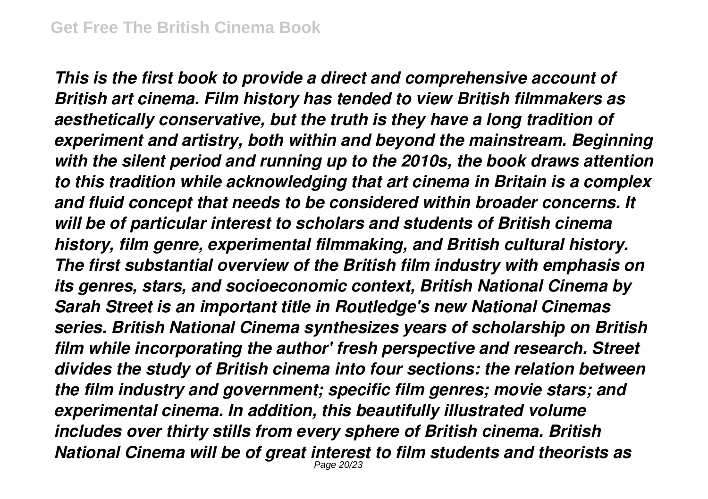*This is the first book to provide a direct and comprehensive account of British art cinema. Film history has tended to view British filmmakers as aesthetically conservative, but the truth is they have a long tradition of experiment and artistry, both within and beyond the mainstream. Beginning with the silent period and running up to the 2010s, the book draws attention to this tradition while acknowledging that art cinema in Britain is a complex and fluid concept that needs to be considered within broader concerns. It will be of particular interest to scholars and students of British cinema history, film genre, experimental filmmaking, and British cultural history. The first substantial overview of the British film industry with emphasis on its genres, stars, and socioeconomic context, British National Cinema by Sarah Street is an important title in Routledge's new National Cinemas series. British National Cinema synthesizes years of scholarship on British film while incorporating the author' fresh perspective and research. Street divides the study of British cinema into four sections: the relation between the film industry and government; specific film genres; movie stars; and experimental cinema. In addition, this beautifully illustrated volume includes over thirty stills from every sphere of British cinema. British National Cinema will be of great interest to film students and theorists as* Page 20/23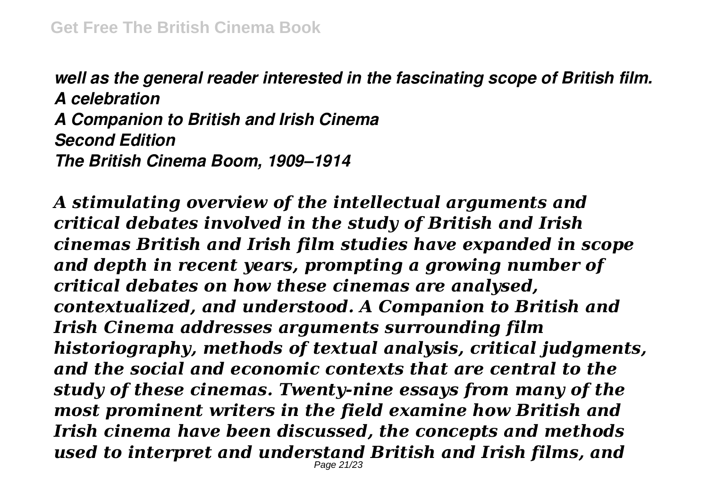*well as the general reader interested in the fascinating scope of British film. A celebration A Companion to British and Irish Cinema Second Edition The British Cinema Boom, 1909–1914*

*A stimulating overview of the intellectual arguments and critical debates involved in the study of British and Irish cinemas British and Irish film studies have expanded in scope and depth in recent years, prompting a growing number of critical debates on how these cinemas are analysed, contextualized, and understood. A Companion to British and Irish Cinema addresses arguments surrounding film historiography, methods of textual analysis, critical judgments, and the social and economic contexts that are central to the study of these cinemas. Twenty-nine essays from many of the most prominent writers in the field examine how British and Irish cinema have been discussed, the concepts and methods used to interpret and understand British and Irish films, and* Page 21/23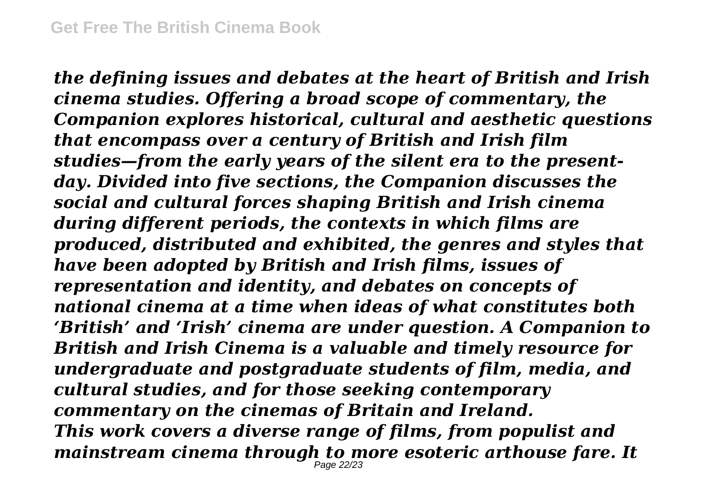*the defining issues and debates at the heart of British and Irish cinema studies. Offering a broad scope of commentary, the Companion explores historical, cultural and aesthetic questions that encompass over a century of British and Irish film studies—from the early years of the silent era to the presentday. Divided into five sections, the Companion discusses the social and cultural forces shaping British and Irish cinema during different periods, the contexts in which films are produced, distributed and exhibited, the genres and styles that have been adopted by British and Irish films, issues of representation and identity, and debates on concepts of national cinema at a time when ideas of what constitutes both 'British' and 'Irish' cinema are under question. A Companion to British and Irish Cinema is a valuable and timely resource for undergraduate and postgraduate students of film, media, and cultural studies, and for those seeking contemporary commentary on the cinemas of Britain and Ireland. This work covers a diverse range of films, from populist and mainstream cinema through to more esoteric arthouse fare. It* Page 22/23